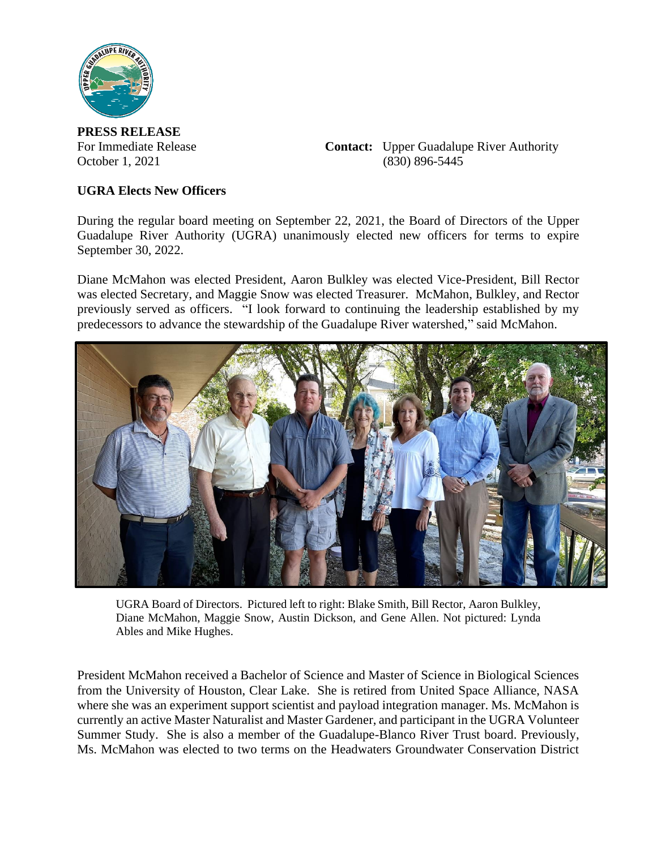

**PRESS RELEASE**

For Immediate Release **Contact:** Upper Guadalupe River Authority October 1, 2021 (830) 896-5445

## **UGRA Elects New Officers**

During the regular board meeting on September 22, 2021, the Board of Directors of the Upper Guadalupe River Authority (UGRA) unanimously elected new officers for terms to expire September 30, 2022.

Diane McMahon was elected President, Aaron Bulkley was elected Vice-President, Bill Rector was elected Secretary, and Maggie Snow was elected Treasurer. McMahon, Bulkley, and Rector previously served as officers. "I look forward to continuing the leadership established by my predecessors to advance the stewardship of the Guadalupe River watershed," said McMahon.



UGRA Board of Directors. Pictured left to right: Blake Smith, Bill Rector, Aaron Bulkley, Diane McMahon, Maggie Snow, Austin Dickson, and Gene Allen. Not pictured: Lynda Ables and Mike Hughes.

President McMahon received a Bachelor of Science and Master of Science in Biological Sciences from the University of Houston, Clear Lake. She is retired from United Space Alliance, NASA where she was an experiment support scientist and payload integration manager. Ms. McMahon is currently an active Master Naturalist and Master Gardener, and participant in the UGRA Volunteer Summer Study. She is also a member of the Guadalupe-Blanco River Trust board. Previously, Ms. McMahon was elected to two terms on the Headwaters Groundwater Conservation District